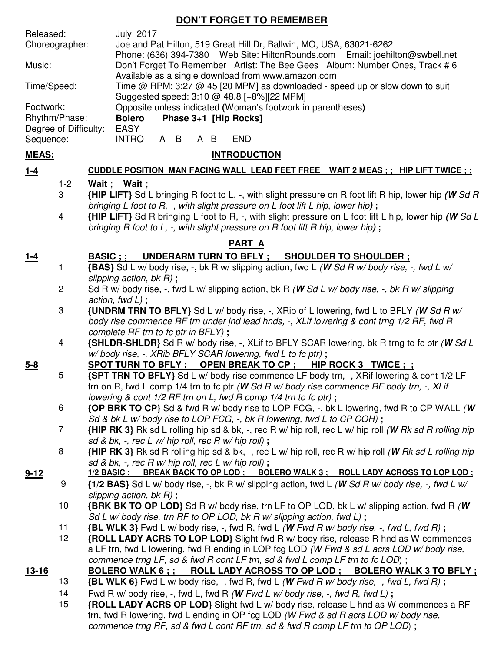# **DON'T FORGET TO REMEMBER**

| Released:             |                | <b>July 2017</b>                                                                                                                          |
|-----------------------|----------------|-------------------------------------------------------------------------------------------------------------------------------------------|
| Choreographer:        |                | Joe and Pat Hilton, 519 Great Hill Dr, Ballwin, MO, USA, 63021-6262                                                                       |
|                       |                | Phone: (636) 394-7380 Web Site: HiltonRounds.com Email: joehilton@swbell.net                                                              |
| Music:                |                | Don't Forget To Remember Artist: The Bee Gees Album: Number Ones, Track #6                                                                |
| Time/Speed:           |                | Available as a single download from www.amazon.com<br>Time @ RPM: 3:27 @ 45 [20 MPM] as downloaded - speed up or slow down to suit        |
|                       |                | Suggested speed: 3:10 @ 48.8 [+8%][22 MPM]                                                                                                |
| Footwork:             |                | Opposite unless indicated (Woman's footwork in parentheses)                                                                               |
| Rhythm/Phase:         |                | Phase 3+1 [Hip Rocks]<br><b>Bolero</b>                                                                                                    |
| Degree of Difficulty: |                | <b>EASY</b>                                                                                                                               |
| Sequence:             |                | A B<br><b>INTRO</b><br>A B<br><b>END</b>                                                                                                  |
| <b>MEAS:</b>          |                | <b>INTRODUCTION</b>                                                                                                                       |
| $1-4$                 |                | CUDDLE POSITION MAN FACING WALL LEAD FEET FREE WAIT 2 MEAS ; ; HIP LIFT TWICE ; ;                                                         |
|                       | $1 - 2$        | Wait; Wait;                                                                                                                               |
|                       | 3              | {HIP LIFT} Sd L bringing R foot to L, -, with slight pressure on R foot lift R hip, lower hip (W Sd R                                     |
|                       |                | bringing L foot to R, -, with slight pressure on L foot lift L hip, lower hip);                                                           |
|                       | 4              | {HIP LIFT} Sd R bringing L foot to R, -, with slight pressure on L foot lift L hip, lower hip (W Sd L                                     |
|                       |                | bringing R foot to L, -, with slight pressure on R foot lift R hip, lower hip);                                                           |
| <b>PART A</b>         |                |                                                                                                                                           |
| <u>1-4</u>            |                | BASIC ; ;<br>UNDERARM TURN TO BFLY; SHOULDER TO SHOULDER;                                                                                 |
|                       | 1              | {BAS} Sd L w/ body rise, -, bk R w/ slipping action, fwd L (W Sd R w/ body rise, -, fwd L w/                                              |
|                       |                | slipping action, $bk R$ ;                                                                                                                 |
|                       | $\overline{c}$ | Sd R w/ body rise, -, fwd L w/ slipping action, bk R (W Sd L w/ body rise, -, bk R w/ slipping                                            |
|                       |                | action, fwd $L$ );                                                                                                                        |
|                       | 3              | <b>{UNDRM TRN TO BFLY}</b> Sd L w/ body rise, -, XRib of L lowering, fwd L to BFLY (W Sd R w/                                             |
|                       |                | body rise commence RF trn under jnd lead hnds, -, XLif lowering & cont trng 1/2 RF, fwd R                                                 |
|                       | 4              | complete RF trn to fc ptr in BFLY);<br><b>{SHLDR-SHLDR}</b> Sd R w/ body rise, -, XLif to BFLY SCAR lowering, bk R trng to fc ptr (W Sd L |
|                       |                | w/body rise, -, XRib BFLY SCAR lowering, fwd L to fc ptr);                                                                                |
| $5 - 8$               |                |                                                                                                                                           |
|                       | 5              | <b>{SPT TRN TO BFLY}</b> Sd L w/ body rise commence LF body trn, -, XRif lowering & cont 1/2 LF                                           |
|                       |                | trn on R, fwd L comp 1/4 trn to fc ptr (W Sd R w/ body rise commence RF body trn, $-$ , XLif                                              |
|                       |                | lowering & cont 1/2 RF trn on L, fwd R comp 1/4 trn to fc ptr);                                                                           |
|                       | 6              | {OP BRK TO CP} Sd & fwd R w/ body rise to LOP FCG, -, bk L lowering, fwd R to CP WALL (W                                                  |
|                       |                | Sd & bk L w/body rise to LOP FCG, -, bk R lowering, fwd L to CP COH);                                                                     |
|                       | 7              | {HIP RK 3} Rk sd L rolling hip sd & bk, -, rec R w/ hip roll, rec L w/ hip roll (W Rk sd R rolling hip                                    |
|                       |                | sd & bk, -, rec L w/ hip roll, rec R w/ hip roll);                                                                                        |
|                       | 8              | <b>{HIP RK 3}</b> Rk sd R rolling hip sd & bk, -, rec L w/ hip roll, rec R w/ hip roll (W Rk sd L rolling hip                             |
|                       |                | sd & bk, -, rec R w/ hip roll, rec L w/ hip roll);                                                                                        |
| $9 - 12$              |                | 1/2 BASIC ; BREAK BACK TO OP LOD ; BOLERO WALK 3 ; ROLL LADY ACROSS TO LOP LOD ;                                                          |
|                       | 9              | {1/2 BAS} Sd L w/ body rise, -, bk R w/ slipping action, fwd L (W Sd R w/ body rise, -, fwd L w/<br>slipping action, bk $R$ );            |
|                       | 10             | <b>{BRK BK TO OP LOD}</b> Sd R w/ body rise, trn LF to OP LOD, bk L w/ slipping action, fwd R (W)                                         |
|                       |                | Sd L w/body rise, trn RF to OP LOD, bk R w/ slipping action, fwd L);                                                                      |
|                       | 11             | $\{BL WLK 3\}$ Fwd L w/ body rise, -, fwd R, fwd L (W Fwd R w/ body rise, -, fwd L, fwd R);                                               |
|                       | 12             | {ROLL LADY ACRS TO LOP LOD} Slight fwd R w/ body rise, release R hnd as W commences                                                       |
|                       |                | a LF trn, fwd L lowering, fwd R ending in LOP fcg LOD (W Fwd & sd L acrs LOD w/body rise,                                                 |
|                       |                | commence trng LF, sd & fwd R cont LF trn, sd & fwd L comp LF trn to fc LOD);                                                              |
| <u>13-16</u>          |                | BOLERO WALK 6;; ROLL LADY ACROSS TO OP LOD; BOLERO WALK 3 TO BFLY;                                                                        |
|                       | 13             | {BL WLK 6} Fwd L w/ body rise, -, fwd R, fwd L (W Fwd R w/ body rise, -, fwd L, fwd R);                                                   |
|                       | 14             | Fwd R w/ body rise, -, fwd L, fwd R (W Fwd L w/ body rise, -, fwd R, fwd L);                                                              |
|                       | 15             | {ROLL LADY ACRS OP LOD} Slight fwd L w/ body rise, release L hnd as W commences a RF                                                      |
|                       |                | trn, fwd R lowering, fwd L ending in OP fcg LOD (W Fwd & sd R acrs LOD w/ body rise,                                                      |
|                       |                | commence trng RF, sd & fwd L cont RF trn, sd & fwd R comp LF trn to OP LOD);                                                              |